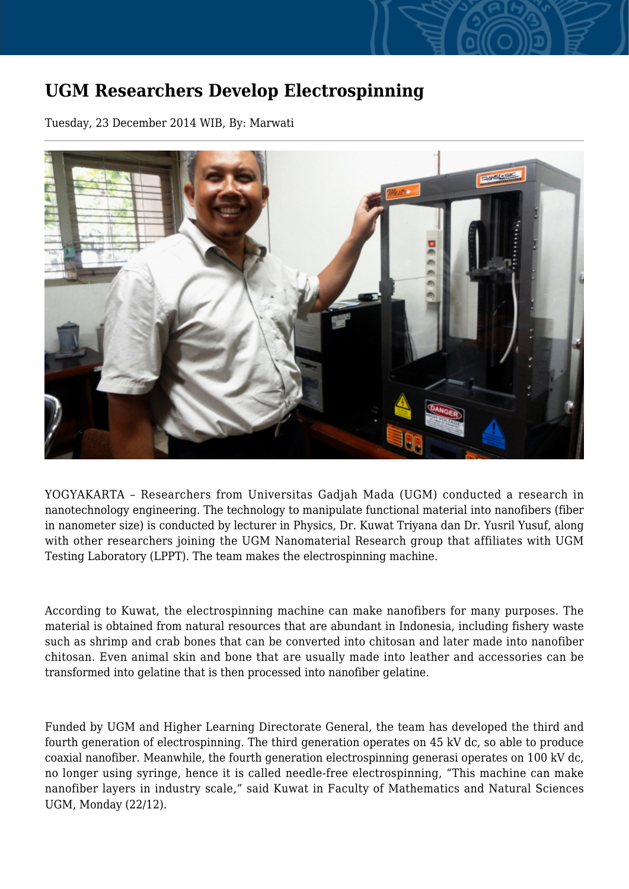## **UGM Researchers Develop Electrospinning**

Tuesday, 23 December 2014 WIB, By: Marwati



YOGYAKARTA – Researchers from Universitas Gadjah Mada (UGM) conducted a research in nanotechnology engineering. The technology to manipulate functional material into nanofibers (fiber in nanometer size) is conducted by lecturer in Physics, Dr. Kuwat Triyana dan Dr. Yusril Yusuf, along with other researchers joining the UGM Nanomaterial Research group that affiliates with UGM Testing Laboratory (LPPT). The team makes the electrospinning machine.

According to Kuwat, the electrospinning machine can make nanofibers for many purposes. The material is obtained from natural resources that are abundant in Indonesia, including fishery waste such as shrimp and crab bones that can be converted into chitosan and later made into nanofiber chitosan. Even animal skin and bone that are usually made into leather and accessories can be transformed into gelatine that is then processed into nanofiber gelatine.

Funded by UGM and Higher Learning Directorate General, the team has developed the third and fourth generation of electrospinning. The third generation operates on 45 kV dc, so able to produce coaxial nanofiber. Meanwhile, the fourth generation electrospinning generasi operates on 100 kV dc, no longer using syringe, hence it is called needle-free electrospinning, "This machine can make nanofiber layers in industry scale," said Kuwat in Faculty of Mathematics and Natural Sciences UGM, Monday (22/12).